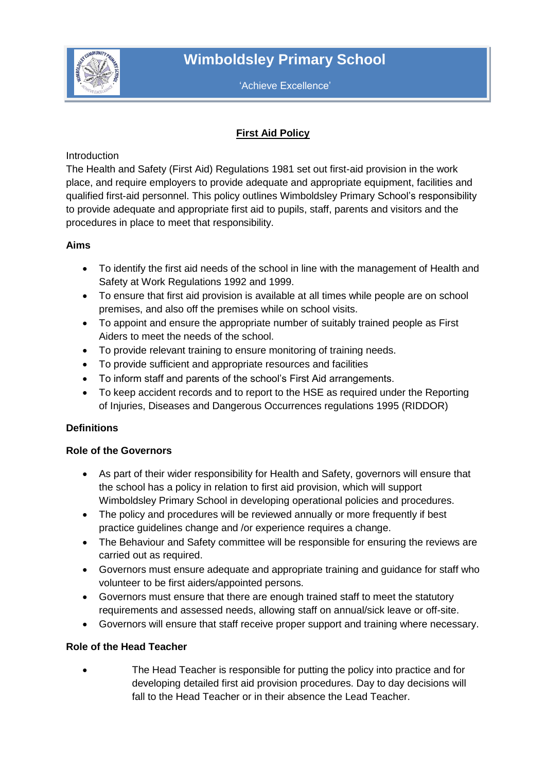

'Achieve Excellence'

# **First Aid Policy**

**Introduction** 

The Health and Safety (First Aid) Regulations 1981 set out first-aid provision in the work place, and require employers to provide adequate and appropriate equipment, facilities and qualified first-aid personnel. This policy outlines Wimboldsley Primary School's responsibility to provide adequate and appropriate first aid to pupils, staff, parents and visitors and the procedures in place to meet that responsibility.

# **Aims**

- To identify the first aid needs of the school in line with the management of Health and Safety at Work Regulations 1992 and 1999.
- To ensure that first aid provision is available at all times while people are on school premises, and also off the premises while on school visits.
- To appoint and ensure the appropriate number of suitably trained people as First Aiders to meet the needs of the school.
- To provide relevant training to ensure monitoring of training needs.
- To provide sufficient and appropriate resources and facilities
- To inform staff and parents of the school's First Aid arrangements.
- To keep accident records and to report to the HSE as required under the Reporting of Injuries, Diseases and Dangerous Occurrences regulations 1995 (RIDDOR)

# **Definitions**

#### **Role of the Governors**

- As part of their wider responsibility for Health and Safety, governors will ensure that the school has a policy in relation to first aid provision, which will support Wimboldsley Primary School in developing operational policies and procedures.
- The policy and procedures will be reviewed annually or more frequently if best practice guidelines change and /or experience requires a change.
- The Behaviour and Safety committee will be responsible for ensuring the reviews are carried out as required.
- Governors must ensure adequate and appropriate training and guidance for staff who volunteer to be first aiders/appointed persons.
- Governors must ensure that there are enough trained staff to meet the statutory requirements and assessed needs, allowing staff on annual/sick leave or off-site.
- Governors will ensure that staff receive proper support and training where necessary.

# **Role of the Head Teacher**

 The Head Teacher is responsible for putting the policy into practice and for developing detailed first aid provision procedures. Day to day decisions will fall to the Head Teacher or in their absence the Lead Teacher.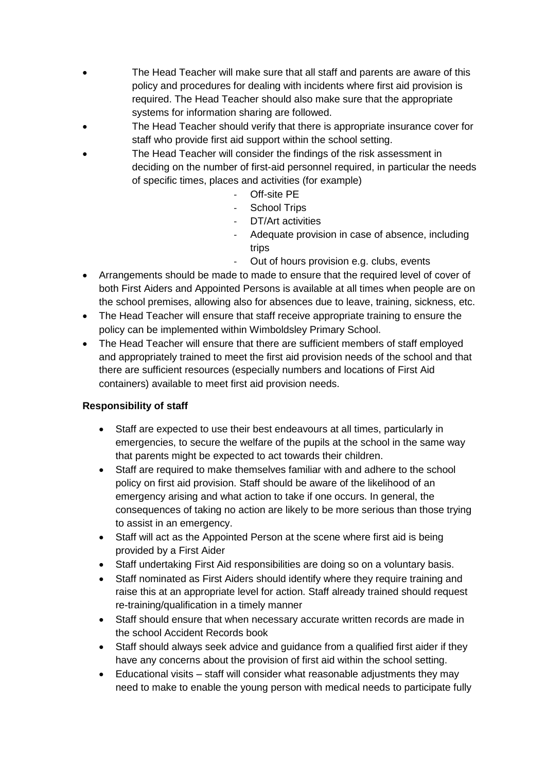- The Head Teacher will make sure that all staff and parents are aware of this policy and procedures for dealing with incidents where first aid provision is required. The Head Teacher should also make sure that the appropriate systems for information sharing are followed.
- The Head Teacher should verify that there is appropriate insurance cover for staff who provide first aid support within the school setting.
- The Head Teacher will consider the findings of the risk assessment in deciding on the number of first-aid personnel required, in particular the needs of specific times, places and activities (for example)
	- Off-site PE
	- School Trips
	- DT/Art activities
	- Adequate provision in case of absence, including trips
	- Out of hours provision e.g. clubs, events
- Arrangements should be made to made to ensure that the required level of cover of both First Aiders and Appointed Persons is available at all times when people are on the school premises, allowing also for absences due to leave, training, sickness, etc.
- The Head Teacher will ensure that staff receive appropriate training to ensure the policy can be implemented within Wimboldsley Primary School.
- The Head Teacher will ensure that there are sufficient members of staff employed and appropriately trained to meet the first aid provision needs of the school and that there are sufficient resources (especially numbers and locations of First Aid containers) available to meet first aid provision needs.

# **Responsibility of staff**

- Staff are expected to use their best endeavours at all times, particularly in emergencies, to secure the welfare of the pupils at the school in the same way that parents might be expected to act towards their children.
- Staff are required to make themselves familiar with and adhere to the school policy on first aid provision. Staff should be aware of the likelihood of an emergency arising and what action to take if one occurs. In general, the consequences of taking no action are likely to be more serious than those trying to assist in an emergency.
- Staff will act as the Appointed Person at the scene where first aid is being provided by a First Aider
- Staff undertaking First Aid responsibilities are doing so on a voluntary basis.
- Staff nominated as First Aiders should identify where they require training and raise this at an appropriate level for action. Staff already trained should request re-training/qualification in a timely manner
- Staff should ensure that when necessary accurate written records are made in the school Accident Records book
- Staff should always seek advice and guidance from a qualified first aider if they have any concerns about the provision of first aid within the school setting.
- Educational visits staff will consider what reasonable adjustments they may need to make to enable the young person with medical needs to participate fully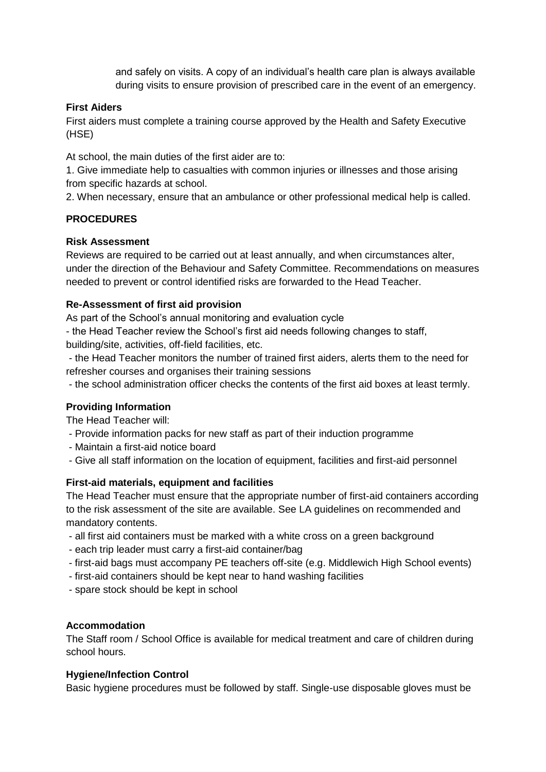and safely on visits. A copy of an individual's health care plan is always available during visits to ensure provision of prescribed care in the event of an emergency.

### **First Aiders**

First aiders must complete a training course approved by the Health and Safety Executive (HSE)

At school, the main duties of the first aider are to:

1. Give immediate help to casualties with common injuries or illnesses and those arising from specific hazards at school.

2. When necessary, ensure that an ambulance or other professional medical help is called.

# **PROCEDURES**

#### **Risk Assessment**

Reviews are required to be carried out at least annually, and when circumstances alter, under the direction of the Behaviour and Safety Committee. Recommendations on measures needed to prevent or control identified risks are forwarded to the Head Teacher.

### **Re-Assessment of first aid provision**

As part of the School's annual monitoring and evaluation cycle

- the Head Teacher review the School's first aid needs following changes to staff, building/site, activities, off-field facilities, etc.

- the Head Teacher monitors the number of trained first aiders, alerts them to the need for refresher courses and organises their training sessions

- the school administration officer checks the contents of the first aid boxes at least termly.

#### **Providing Information**

The Head Teacher will:

- Provide information packs for new staff as part of their induction programme
- Maintain a first-aid notice board
- Give all staff information on the location of equipment, facilities and first-aid personnel

#### **First-aid materials, equipment and facilities**

The Head Teacher must ensure that the appropriate number of first-aid containers according to the risk assessment of the site are available. See LA guidelines on recommended and mandatory contents.

- all first aid containers must be marked with a white cross on a green background
- each trip leader must carry a first-aid container/bag
- first-aid bags must accompany PE teachers off-site (e.g. Middlewich High School events)
- first-aid containers should be kept near to hand washing facilities
- spare stock should be kept in school

#### **Accommodation**

The Staff room / School Office is available for medical treatment and care of children during school hours.

#### **Hygiene/Infection Control**

Basic hygiene procedures must be followed by staff. Single-use disposable gloves must be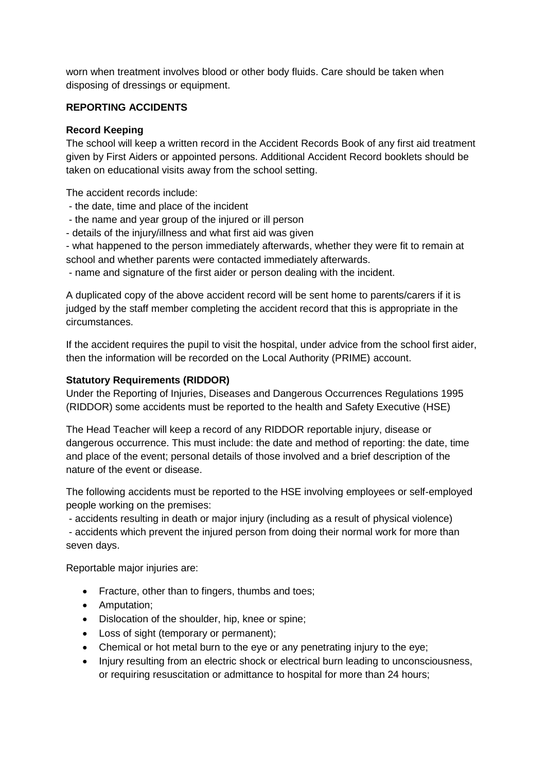worn when treatment involves blood or other body fluids. Care should be taken when disposing of dressings or equipment.

### **REPORTING ACCIDENTS**

### **Record Keeping**

The school will keep a written record in the Accident Records Book of any first aid treatment given by First Aiders or appointed persons. Additional Accident Record booklets should be taken on educational visits away from the school setting.

The accident records include:

- the date, time and place of the incident
- the name and year group of the injured or ill person
- details of the injury/illness and what first aid was given

- what happened to the person immediately afterwards, whether they were fit to remain at school and whether parents were contacted immediately afterwards.

- name and signature of the first aider or person dealing with the incident.

A duplicated copy of the above accident record will be sent home to parents/carers if it is judged by the staff member completing the accident record that this is appropriate in the circumstances.

If the accident requires the pupil to visit the hospital, under advice from the school first aider, then the information will be recorded on the Local Authority (PRIME) account.

### **Statutory Requirements (RIDDOR)**

Under the Reporting of Injuries, Diseases and Dangerous Occurrences Regulations 1995 (RIDDOR) some accidents must be reported to the health and Safety Executive (HSE)

The Head Teacher will keep a record of any RIDDOR reportable injury, disease or dangerous occurrence. This must include: the date and method of reporting: the date, time and place of the event; personal details of those involved and a brief description of the nature of the event or disease.

The following accidents must be reported to the HSE involving employees or self-employed people working on the premises:

- accidents resulting in death or major injury (including as a result of physical violence)

- accidents which prevent the injured person from doing their normal work for more than seven days.

Reportable major injuries are:

- Fracture, other than to fingers, thumbs and toes;
- Amputation:
- Dislocation of the shoulder, hip, knee or spine;
- Loss of sight (temporary or permanent);
- Chemical or hot metal burn to the eye or any penetrating injury to the eye;
- Injury resulting from an electric shock or electrical burn leading to unconsciousness, or requiring resuscitation or admittance to hospital for more than 24 hours;